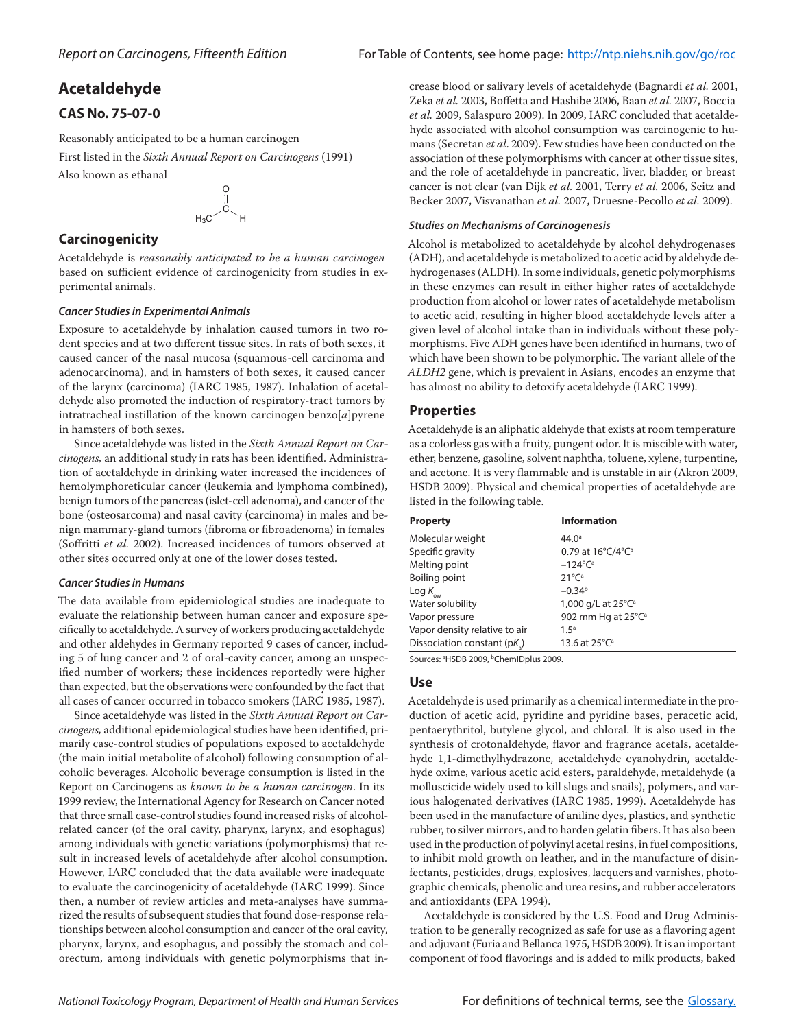# **Acetaldehyde**

# **CAS No. 75-07-0**

Reasonably anticipated to be a human carcinogen First listed in the *Sixth Annual Report on Carcinogens* (1991) Also known as ethanal

$$
\begin{matrix}0\\0\\0\\H_3C\end{matrix} \rightarrow H
$$

# **Carcinogenicity**

Acetaldehyde is *reasonably anticipated to be a human carcinogen* based on sufficient evidence of carcinogenicity from studies in experimental animals.

## *Cancer Studies in Experimental Animals*

Exposure to acetaldehyde by inhalation caused tumors in two rodent species and at two different tissue sites. In rats of both sexes, it caused cancer of the nasal mucosa (squamous-cell carcinoma and adenocarcinoma), and in hamsters of both sexes, it caused cancer of the larynx (carcinoma) (IARC 1985, 1987). Inhalation of acetaldehyde also promoted the induction of respiratory-tract tumors by intratracheal instillation of the known carcinogen benzo[*a*]pyrene in hamsters of both sexes.

Since acetaldehyde was listed in the *Sixth Annual Report on Carcinogens,* an additional study in rats has been identified. Administration of acetaldehyde in drinking water increased the incidences of hemolymphoreticular cancer (leukemia and lymphoma combined), benign tumors of the pancreas (islet-cell adenoma), and cancer of the bone (osteosarcoma) and nasal cavity (carcinoma) in males and benign mammary-gland tumors (fibroma or fibroadenoma) in females (Soffritti *et al.* 2002). Increased incidences of tumors observed at other sites occurred only at one of the lower doses tested.

# *Cancer Studies in Humans*

The data available from epidemiological studies are inadequate to evaluate the relationship between human cancer and exposure specifically to acetaldehyde. A survey of workers producing acetaldehyde and other aldehydes in Germany reported 9 cases of cancer, including 5 of lung cancer and 2 of oral-cavity cancer, among an unspecified number of workers; these incidences reportedly were higher than expected, but the observations were confounded by the fact that all cases of cancer occurred in tobacco smokers (IARC 1985, 1987).

Since acetaldehyde was listed in the *Sixth Annual Report on Carcinogens,* additional epidemiological studies have been identified, primarily case-control studies of populations exposed to acetaldehyde (the main initial metabolite of alcohol) following consumption of alcoholic beverages. Alcoholic beverage consumption is listed in the Report on Carcinogens as *known to be a human carcinogen*. In its 1999 review, the International Agency for Research on Cancer noted that three small case-control studies found increased risks of alcoholrelated cancer (of the oral cavity, pharynx, larynx, and esophagus) among individuals with genetic variations (polymorphisms) that result in increased levels of acetaldehyde after alcohol consumption. However, IARC concluded that the data available were inadequate to evaluate the carcinogenicity of acetaldehyde (IARC 1999). Since then, a number of review articles and meta-analyses have summarized the results of subsequent studies that found dose-response relationships between alcohol consumption and cancer of the oral cavity, pharynx, larynx, and esophagus, and possibly the stomach and colorectum, among individuals with genetic polymorphisms that increase blood or salivary levels of acetaldehyde (Bagnardi *et al.* 2001, Zeka *et al.* 2003, Boffetta and Hashibe 2006, Baan *et al.* 2007, Boccia *et al.* 2009, Salaspuro 2009). In 2009, IARC concluded that acetaldehyde associated with alcohol consumption was carcinogenic to humans (Secretan *et al*. 2009). Few studies have been conducted on the association of these polymorphisms with cancer at other tissue sites, and the role of acetaldehyde in pancreatic, liver, bladder, or breast cancer is not clear (van Dijk *et al.* 2001, Terry *et al.* 2006, Seitz and Becker 2007, Visvanathan *et al.* 2007, Druesne-Pecollo *et al.* 2009).

# *Studies on Mechanisms of Carcinogenesis*

Alcohol is metabolized to acetaldehyde by alcohol dehydrogenases (ADH), and acetaldehyde is metabolized to acetic acid by aldehyde dehydrogenases (ALDH). In some individuals, genetic polymorphisms in these enzymes can result in either higher rates of acetaldehyde production from alcohol or lower rates of acetaldehyde metabolism to acetic acid, resulting in higher blood acetaldehyde levels after a given level of alcohol intake than in individuals without these polymorphisms. Five ADH genes have been identified in humans, two of which have been shown to be polymorphic. The variant allele of the *ALDH2* gene, which is prevalent in Asians, encodes an enzyme that has almost no ability to detoxify acetaldehyde (IARC 1999).

# **Properties**

Acetaldehyde is an aliphatic aldehyde that exists at room temperature as a colorless gas with a fruity, pungent odor. It is miscible with water, ether, benzene, gasoline, solvent naphtha, toluene, xylene, turpentine, and acetone. It is very flammable and is unstable in air (Akron 2009, HSDB 2009). Physical and chemical properties of acetaldehyde are listed in the following table.

| <b>Property</b>                | <b>Information</b>             |  |
|--------------------------------|--------------------------------|--|
| Molecular weight               | $44.0^{\circ}$                 |  |
| Specific gravity               | 0.79 at 16°C/4°C <sup>a</sup>  |  |
| Melting point                  | $-124^{\circ}C^{\circ}$        |  |
| Boiling point                  | $21^{\circ}C^{\circ}$          |  |
| $\text{Log } K_{_{\text{ow}}}$ | $-0.34b$                       |  |
| Water solubility               | 1,000 g/L at 25°C <sup>a</sup> |  |
| Vapor pressure                 | 902 mm Hg at 25°C <sup>a</sup> |  |
| Vapor density relative to air  | 1.5 <sup>a</sup>               |  |
| Dissociation constant (pK)     | 13.6 at 25°C <sup>a</sup>      |  |
|                                |                                |  |

Sources: <sup>a</sup>HSDB 2009, <sup>b</sup>ChemIDplus 2009.

# **Use**

Acetaldehyde is used primarily as a chemical intermediate in the production of acetic acid, pyridine and pyridine bases, peracetic acid, pentaerythritol, butylene glycol, and chloral. It is also used in the synthesis of crotonaldehyde, flavor and fragrance acetals, acetaldehyde 1,1-dimethylhydrazone, acetaldehyde cyanohydrin, acetaldehyde oxime, various acetic acid esters, paraldehyde, metaldehyde (a molluscicide widely used to kill slugs and snails), polymers, and various halogenated derivatives (IARC 1985, 1999). Acetaldehyde has been used in the manufacture of aniline dyes, plastics, and synthetic rubber, to silver mirrors, and to harden gelatin fibers. It has also been used in the production of polyvinyl acetal resins, in fuel compositions, to inhibit mold growth on leather, and in the manufacture of disinfectants, pesticides, drugs, explosives, lacquers and varnishes, photographic chemicals, phenolic and urea resins, and rubber accelerators and antioxidants (EPA 1994).

Acetaldehyde is considered by the U.S. Food and Drug Administration to be generally recognized as safe for use as a flavoring agent and adjuvant (Furia and Bellanca 1975, HSDB 2009). It is an important component of food flavorings and is added to milk products, baked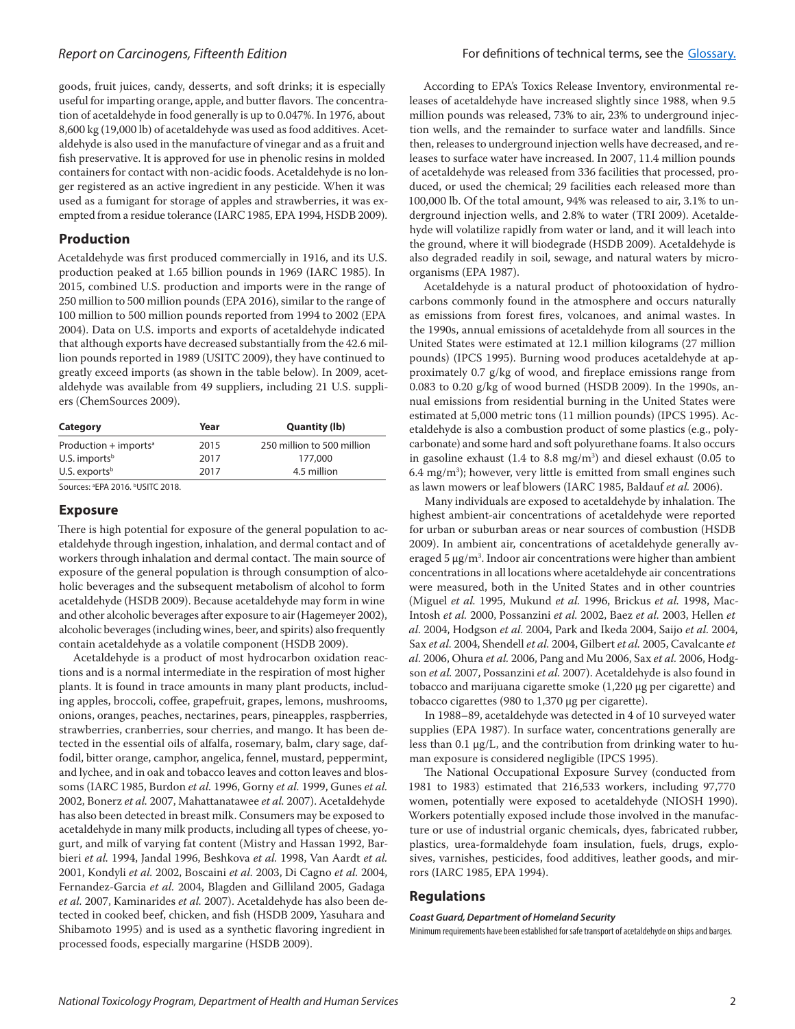goods, fruit juices, candy, desserts, and soft drinks; it is especially useful for imparting orange, apple, and butter flavors. The concentration of acetaldehyde in food generally is up to 0.047%. In 1976, about 8,600 kg (19,000 lb) of acetaldehyde was used as food additives. Acetaldehyde is also used in the manufacture of vinegar and as a fruit and fish preservative. It is approved for use in phenolic resins in molded containers for contact with non-acidic foods. Acetaldehyde is no longer registered as an active ingredient in any pesticide. When it was used as a fumigant for storage of apples and strawberries, it was exempted from a residue tolerance (IARC 1985, EPA 1994, HSDB 2009).

## **Production**

Acetaldehyde was first produced commercially in 1916, and its U.S. production peaked at 1.65 billion pounds in 1969 (IARC 1985). In 2015, combined U.S. production and imports were in the range of 250 million to 500 million pounds (EPA 2016), similar to the range of 100 million to 500 million pounds reported from 1994 to 2002 (EPA 2004). Data on U.S. imports and exports of acetaldehyde indicated that although exports have decreased substantially from the 42.6 million pounds reported in 1989 (USITC 2009), they have continued to greatly exceed imports (as shown in the table below). In 2009, acetaldehyde was available from 49 suppliers, including 21 U.S. suppliers (ChemSources 2009).

| Category                            | Year | <b>Quantity (lb)</b>       |
|-------------------------------------|------|----------------------------|
| Production $+$ imports <sup>a</sup> | 2015 | 250 million to 500 million |
| U.S. imports <sup>b</sup>           | 2017 | 177,000                    |
| U.S. exports $b$                    | 2017 | 4.5 million                |

Sources: ªEPA 2016. <sup>b</sup>USITC 2018.

#### **Exposure**

There is high potential for exposure of the general population to acetaldehyde through ingestion, inhalation, and dermal contact and of workers through inhalation and dermal contact. The main source of exposure of the general population is through consumption of alcoholic beverages and the subsequent metabolism of alcohol to form acetaldehyde (HSDB 2009). Because acetaldehyde may form in wine and other alcoholic beverages after exposure to air (Hagemeyer 2002), alcoholic beverages (including wines, beer, and spirits) also frequently contain acetaldehyde as a volatile component (HSDB 2009).

Acetaldehyde is a product of most hydrocarbon oxidation reactions and is a normal intermediate in the respiration of most higher plants. It is found in trace amounts in many plant products, including apples, broccoli, coffee, grapefruit, grapes, lemons, mushrooms, onions, oranges, peaches, nectarines, pears, pineapples, raspberries, strawberries, cranberries, sour cherries, and mango. It has been detected in the essential oils of alfalfa, rosemary, balm, clary sage, daffodil, bitter orange, camphor, angelica, fennel, mustard, peppermint, and lychee, and in oak and tobacco leaves and cotton leaves and blossoms (IARC 1985, Burdon *et al.* 1996, Gorny *et al.* 1999, Gunes *et al.* 2002, Bonerz *et al.* 2007, Mahattanatawee *et al.* 2007). Acetaldehyde has also been detected in breast milk. Consumers may be exposed to acetaldehyde in many milk products, including all types of cheese, yogurt, and milk of varying fat content (Mistry and Hassan 1992, Barbieri *et al.* 1994, Jandal 1996, Beshkova *et al.* 1998, Van Aardt *et al.* 2001, Kondyli *et al.* 2002, Boscaini *et al.* 2003, Di Cagno *et al.* 2004, Fernandez-Garcia *et al.* 2004, Blagden and Gilliland 2005, Gadaga *et al.* 2007, Kaminarides *et al.* 2007). Acetaldehyde has also been detected in cooked beef, chicken, and fish (HSDB 2009, Yasuhara and Shibamoto 1995) and is used as a synthetic flavoring ingredient in processed foods, especially margarine (HSDB 2009).

According to EPA's Toxics Release Inventory, environmental releases of acetaldehyde have increased slightly since 1988, when 9.5 million pounds was released, 73% to air, 23% to underground injection wells, and the remainder to surface water and landfills. Since then, releases to underground injection wells have decreased, and releases to surface water have increased. In 2007, 11.4 million pounds of acetaldehyde was released from 336 facilities that processed, produced, or used the chemical; 29 facilities each released more than 100,000 lb. Of the total amount, 94% was released to air, 3.1% to underground injection wells, and 2.8% to water (TRI 2009). Acetaldehyde will volatilize rapidly from water or land, and it will leach into the ground, where it will biodegrade (HSDB 2009). Acetaldehyde is also degraded readily in soil, sewage, and natural waters by microorganisms (EPA 1987).

Acetaldehyde is a natural product of photooxidation of hydrocarbons commonly found in the atmosphere and occurs naturally as emissions from forest fires, volcanoes, and animal wastes. In the 1990s, annual emissions of acetaldehyde from all sources in the United States were estimated at 12.1 million kilograms (27 million pounds) (IPCS 1995). Burning wood produces acetaldehyde at approximately 0.7 g/kg of wood, and fireplace emissions range from 0.083 to 0.20 g/kg of wood burned (HSDB 2009). In the 1990s, annual emissions from residential burning in the United States were estimated at 5,000 metric tons (11 million pounds) (IPCS 1995). Acetaldehyde is also a combustion product of some plastics (e.g., polycarbonate) and some hard and soft polyurethane foams. It also occurs in gasoline exhaust (1.4 to 8.8 mg/m3 ) and diesel exhaust (0.05 to 6.4 mg/m3 ); however, very little is emitted from small engines such as lawn mowers or leaf blowers (IARC 1985, Baldauf *et al.* 2006).

Many individuals are exposed to acetaldehyde by inhalation. The highest ambient-air concentrations of acetaldehyde were reported for urban or suburban areas or near sources of combustion (HSDB 2009). In ambient air, concentrations of acetaldehyde generally averaged 5 μg/m3 . Indoor air concentrations were higher than ambient concentrations in all locations where acetaldehyde air concentrations were measured, both in the United States and in other countries (Miguel *et al.* 1995, Mukund *et al.* 1996, Brickus *et al.* 1998, Mac-Intosh *et al.* 2000, Possanzini *et al.* 2002, Baez *et al.* 2003, Hellen *et al.* 2004, Hodgson *et al.* 2004, Park and Ikeda 2004, Saijo *et al.* 2004, Sax *et al.* 2004, Shendell *et al.* 2004, Gilbert *et al.* 2005, Cavalcante *et al.* 2006, Ohura *et al.* 2006, Pang and Mu 2006, Sax *et al.* 2006, Hodgson *et al.* 2007, Possanzini *et al.* 2007). Acetaldehyde is also found in tobacco and marijuana cigarette smoke (1,220 μg per cigarette) and tobacco cigarettes (980 to 1,370 μg per cigarette).

In 1988–89, acetaldehyde was detected in 4 of 10 surveyed water supplies (EPA 1987). In surface water, concentrations generally are less than 0.1 μg/L, and the contribution from drinking water to human exposure is considered negligible (IPCS 1995).

The National Occupational Exposure Survey (conducted from 1981 to 1983) estimated that 216,533 workers, including 97,770 women, potentially were exposed to acetaldehyde (NIOSH 1990). Workers potentially exposed include those involved in the manufacture or use of industrial organic chemicals, dyes, fabricated rubber, plastics, urea-formaldehyde foam insulation, fuels, drugs, explosives, varnishes, pesticides, food additives, leather goods, and mirrors (IARC 1985, EPA 1994).

### **Regulations**

### *Coast Guard, Department of Homeland Security*

Minimum requirements have been established for safe transport of acetaldehyde on ships and barges.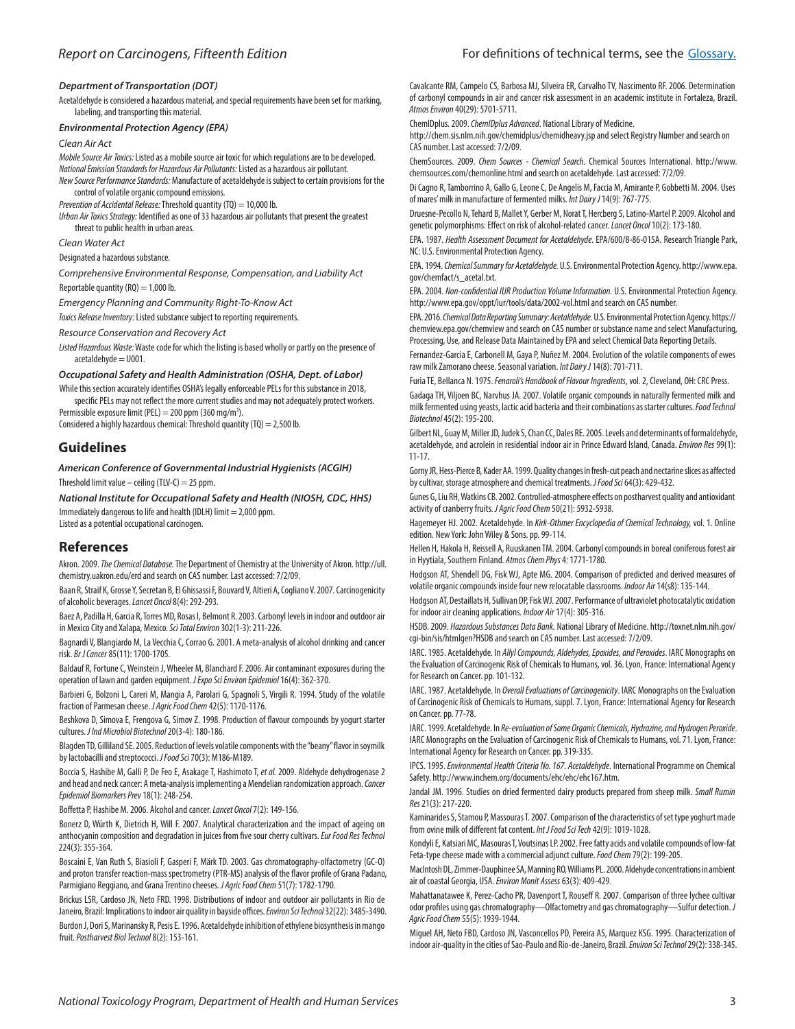#### *Department of Transportation (DOT)*

Acetaldehyde is considered a hazardous material, and special requirements have been set for marking, labeling, and transporting this material.

#### *Environmental Protection Agency (EPA)*

#### *Clean Air Act*

*Mobile Source Air Toxics:* Listed as a mobile source air toxic for which regulations are to be developed. *National Emission Standards for Hazardous Air Pollutants:* Listed as a hazardous air pollutant.

*New Source Performance Standards:* Manufacture of acetaldehyde is subject to certain provisions for the control of volatile organic compound emissions.

*Prevention of Accidental Release:* Threshold quantity (TQ) = 10,000 lb.

*Urban Air Toxics Strategy:* Identified as one of 33 hazardous air pollutants that present the greatest threat to public health in urban areas.

*Clean Water Act*

Designated a hazardous substance.

*Comprehensive Environmental Response, Compensation, and Liability Act* Reportable quantity  $(RQ) = 1,000$  lb.

*Emergency Planning and Community Right-To-Know Act*

*Toxics Release Inventory:* Listed substance subject to reporting requirements.

*Resource Conservation and Recovery Act*

*Listed Hazardous Waste:* Waste code for which the listing is based wholly or partly on the presence of acetaldehyde = U001.

#### *Occupational Safety and Health Administration (OSHA, Dept. of Labor)*

While this section accurately identifies OSHA's legally enforceable PELs for this substance in 2018, specific PELs may not reflect the more current studies and may not adequately protect workers.

Permissible exposure limit (PEL) = 200 ppm (360 mg/m<sup>3</sup>).

Considered a highly hazardous chemical: Threshold quantity  $(TQ) = 2,500$  lb.

## **Guidelines**

*American Conference of Governmental Industrial Hygienists (ACGIH)*

Threshold limit value – ceiling (TLV-C) = 25 ppm.

*National Institute for Occupational Safety and Health (NIOSH, CDC, HHS)* Immediately dangerous to life and health (IDLH) limit  $= 2,000$  ppm. Listed as a potential occupational carcinogen.

### **References**

Akron. 2009. *The Chemical Database.* The Department of Chemistry at the University of Akron. http://ull. chemistry.uakron.edu/erd and search on CAS number. Last accessed: 7/2/09.

Baan R, Straif K, Grosse Y, Secretan B, El Ghissassi F, Bouvard V, Altieri A, Cogliano V. 2007. Carcinogenicity of alcoholic beverages. *Lancet Oncol* 8(4): 292-293.

Baez A, Padilla H, Garcia R, Torres MD, Rosas I, Belmont R. 2003. Carbonyl levels in indoor and outdoor air in Mexico City and Xalapa, Mexico. *Sci Total Environ* 302(1-3): 211-226.

Bagnardi V, Blangiardo M, La Vecchia C, Corrao G. 2001. A meta-analysis of alcohol drinking and cancer risk. *Br J Cancer* 85(11): 1700-1705.

Baldauf R, Fortune C, Weinstein J, Wheeler M, Blanchard F. 2006. Air contaminant exposures during the operation of lawn and garden equipment. *J Expo Sci Environ Epidemiol* 16(4): 362-370.

Barbieri G, Bolzoni L, Careri M, Mangia A, Parolari G, Spagnoli S, Virgili R. 1994. Study of the volatile fraction of Parmesan cheese. *J Agric Food Chem* 42(5): 1170-1176.

Beshkova D, Simova E, Frengova G, Simov Z. 1998. Production of flavour compounds by yogurt starter cultures. *J Ind Microbiol Biotechnol* 20(3-4): 180-186.

Blagden TD, Gilliland SE. 2005. Reduction of levels volatile components with the "beany" flavor in soymilk by lactobacilli and streptococci. *J Food Sci* 70(3): M186-M189.

Boccia S, Hashibe M, Galli P, De Feo E, Asakage T, Hashimoto T, *et al.* 2009. Aldehyde dehydrogenase 2 and head and neck cancer: A meta-analysis implementing a Mendelian randomization approach. *Cancer Epidemiol Biomarkers Prev* 18(1): 248-254.

Boffetta P, Hashibe M. 2006. Alcohol and cancer. *Lancet Oncol* 7(2): 149-156.

Bonerz D, Würth K, Dietrich H, Will F. 2007. Analytical characterization and the impact of ageing on anthocyanin composition and degradation in juices from five sour cherry cultivars. *Eur Food Res Technol* 224(3): 355-364.

Boscaini E, Van Ruth S, Biasioli F, Gasperi F, Märk TD. 2003. Gas chromatography-olfactometry (GC-O) and proton transfer reaction-mass spectrometry (PTR-MS) analysis of the flavor profile of Grana Padano, Parmigiano Reggiano, and Grana Trentino cheeses. *J Agric Food Chem* 51(7): 1782-1790.

Brickus LSR, Cardoso JN, Neto FRD. 1998. Distributions of indoor and outdoor air pollutants in Rio de Janeiro, Brazil: Implications to indoor air quality in bayside offices. *Environ Sci Technol* 32(22): 3485-3490. Burdon J, Dori S, Marinansky R, Pesis E. 1996. Acetaldehyde inhibition of ethylene biosynthesis in mango fruit. *Postharvest Biol Technol* 8(2): 153-161.

Cavalcante RM, Campelo CS, Barbosa MJ, Silveira ER, Carvalho TV, Nascimento RF. 2006. Determination of carbonyl compounds in air and cancer risk assessment in an academic institute in Fortaleza, Brazil. *Atmos Environ* 40(29): 5701-5711.

ChemIDplus. 2009. *ChemIDplus Advanced*. National Library of Medicine.

http://chem.sis.nlm.nih.gov/chemidplus/chemidheavy.jsp and select Registry Number and search on CAS number. Last accessed: 7/2/09.

ChemSources. 2009. *Chem Sources - Chemical Search.* Chemical Sources International. http://www. chemsources.com/chemonline.html and search on acetaldehyde. Last accessed: 7/2/09.

Di Cagno R, Tamborrino A, Gallo G, Leone C, De Angelis M, Faccia M, Amirante P, Gobbetti M. 2004. Uses of mares' milk in manufacture of fermented milks. *Int Dairy J* 14(9): 767-775.

Druesne-Pecollo N, Tehard B, Mallet Y, Gerber M, Norat T, Hercberg S, Latino-Martel P. 2009. Alcohol and genetic polymorphisms: Effect on risk of alcohol-related cancer. *Lancet Oncol* 10(2): 173-180.

EPA. 1987. *Health Assessment Document for Acetaldehyde*. EPA/600/8-86-015A. Research Triangle Park, NC: U.S. Environmental Protection Agency.

EPA. 1994. *Chemical Summary for Acetaldehyde.* U.S. Environmental Protection Agency. http://www.epa. gov/chemfact/s\_acetal.txt.

EPA. 2004. *Non-confidential IUR Production Volume Information.* U.S. Environmental Protection Agency. http://www.epa.gov/oppt/iur/tools/data/2002-vol.html and search on CAS number.

EPA. 2016. *Chemical Data Reporting Summary: Acetaldehyde.* U.S. Environmental Protection Agency. https:// chemview.epa.gov/chemview and search on CAS number or substance name and select Manufacturing, Processing, Use, and Release Data Maintained by EPA and select Chemical Data Reporting Details.

Fernandez-Garcia E, Carbonell M, Gaya P, Nuñez M. 2004. Evolution of the volatile components of ewes raw milk Zamorano cheese. Seasonal variation. *Int Dairy J* 14(8): 701-711.

Furia TE, Bellanca N. 1975. *Fenaroli's Handbook of Flavour Ingredients*, vol. 2, Cleveland, OH: CRC Press. Gadaga TH, Viljoen BC, Narvhus JA. 2007. Volatile organic compounds in naturally fermented milk and milk fermented using yeasts, lactic acid bacteria and their combinations as starter cultures. *Food Technol Biotechnol* 45(2): 195-200.

Gilbert NL, Guay M, Miller JD, Judek S, Chan CC, Dales RE. 2005. Levels and determinants of formaldehyde, acetaldehyde, and acrolein in residential indoor air in Prince Edward Island, Canada. *Environ Res* 99(1): 11-17.

Gorny JR, Hess-Pierce B, Kader AA. 1999. Quality changes in fresh-cut peach and nectarine slices as affected by cultivar, storage atmosphere and chemical treatments. *J Food Sci* 64(3): 429-432.

Gunes G, Liu RH, Watkins CB. 2002. Controlled-atmosphere effects on postharvest quality and antioxidant activity of cranberry fruits. *J Agric Food Chem* 50(21): 5932-5938.

Hagemeyer HJ. 2002. Acetaldehyde. In *Kirk-Othmer Encyclopedia of Chemical Technology,* vol. 1. Online edition. New York: John Wiley & Sons. pp. 99-114.

Hellen H, Hakola H, Reissell A, Ruuskanen TM. 2004. Carbonyl compounds in boreal coniferous forest air in Hyytiala, Southern Finland. *Atmos Chem Phys* 4: 1771-1780.

Hodgson AT, Shendell DG, Fisk WJ, Apte MG. 2004. Comparison of predicted and derived measures of volatile organic compounds inside four new relocatable classrooms. *Indoor Air* 14(s8): 135-144.

Hodgson AT, Destaillats H, Sullivan DP, Fisk WJ. 2007. Performance of ultraviolet photocatalytic oxidation for indoor air cleaning applications. *Indoor Air* 17(4): 305-316.

HSDB. 2009. *Hazardous Substances Data Bank.* National Library of Medicine. http://toxnet.nlm.nih.gov/ cgi-bin/sis/htmlgen?HSDB and search on CAS number. Last accessed: 7/2/09.

IARC. 1985. Acetaldehyde. In *Allyl Compounds, Aldehydes, Epoxides, and Peroxides*. IARC Monographs on the Evaluation of Carcinogenic Risk of Chemicals to Humans, vol. 36. Lyon, France: International Agency for Research on Cancer. pp. 101-132.

IARC. 1987. Acetaldehyde. In *Overall Evaluations of Carcinogenicity*. IARC Monographs on the Evaluation of Carcinogenic Risk of Chemicals to Humans, suppl. 7. Lyon, France: International Agency for Research on Cancer. pp. 77-78.

IARC. 1999. Acetaldehyde. In *Re-evaluation of Some Organic Chemicals, Hydrazine, and Hydrogen Peroxide*. IARC Monographs on the Evaluation of Carcinogenic Risk of Chemicals to Humans, vol. 71. Lyon, France: International Agency for Research on Cancer.pp. 319-335.

IPCS. 1995. *Environmental Health Criteria No. 167. Acetaldehyde*. International Programme on Chemical Safety. http://www.inchem.org/documents/ehc/ehc/ehc167.htm.

Jandal JM. 1996. Studies on dried fermented dairy products prepared from sheep milk. *Small Rumin Res* 21(3): 217-220.

Kaminarides S, Stamou P, Massouras T. 2007. Comparison of the characteristics of set type yoghurt made from ovine milk of different fat content. *Int J Food Sci Tech* 42(9): 1019-1028.

Kondyli E, Katsiari MC, Masouras T, Voutsinas LP. 2002. Free fatty acids and volatile compounds of low-fat Feta-type cheese made with a commercial adjunct culture. *Food Chem* 79(2): 199-205.

MacIntosh DL, Zimmer-Dauphinee SA, Manning RO, Williams PL. 2000. Aldehyde concentrations in ambient air of coastal Georgia, USA. *Environ Monit Assess* 63(3): 409-429.

Mahattanatawee K, Perez-Cacho PR, Davenport T, Rouseff R. 2007. Comparison of three lychee cultivar odor profiles using gas chromatography—Olfactometry and gas chromatography—Sulfur detection. *J Agric Food Chem* 55(5): 1939-1944.

Miguel AH, Neto FBD, Cardoso JN, Vasconcellos PD, Pereira AS, Marquez KSG. 1995. Characterization of indoor air-quality in the cities of Sao-Paulo and Rio-de-Janeiro, Brazil. *Environ Sci Technol* 29(2): 338-345.